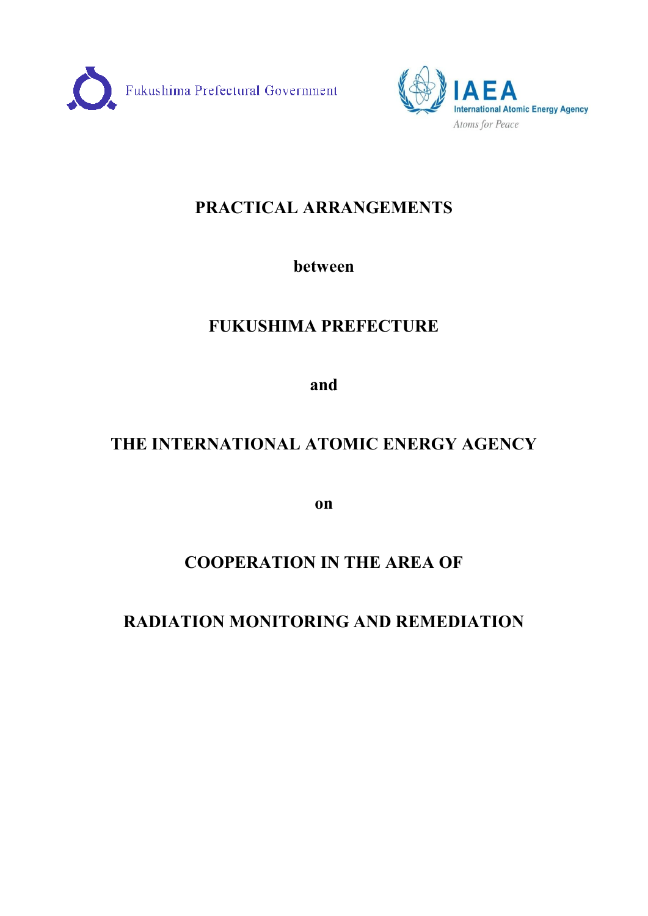



## **PRACTICAL ARRANGEMENTS**

## **between**

## **FUKUSHIMA PREFECTURE**

**and** 

# **THE INTERNATIONAL ATOMIC ENERGY AGENCY**

**on** 

## **COOPERATION IN THE AREA OF**

## **RADIATION MONITORING AND REMEDIATION**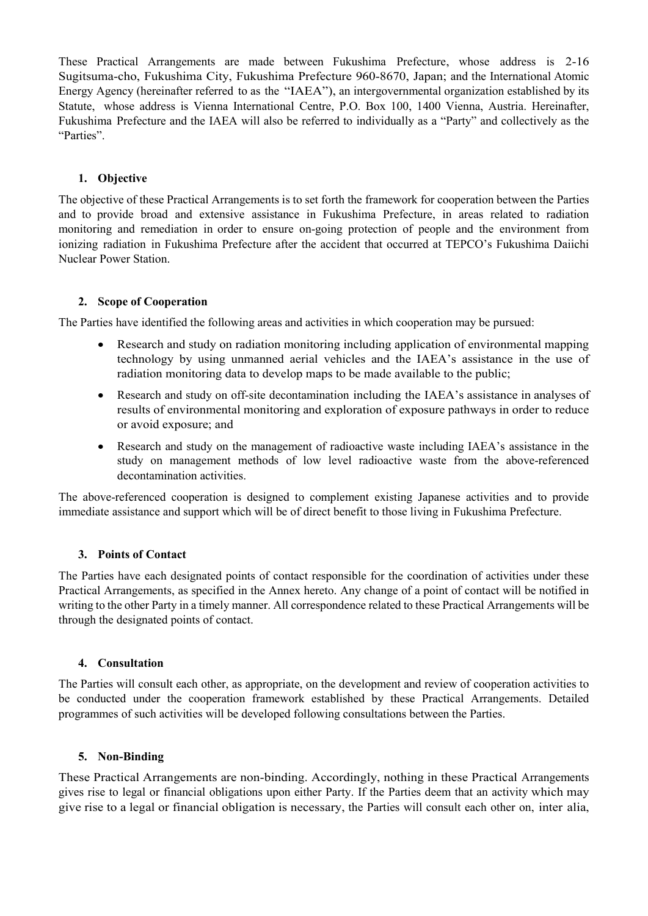These Practical Arrangements are made between Fukushima Prefecture, whose address is 2-16 Sugitsuma-cho, Fukushima City, Fukushima Prefecture 960-8670, Japan; and the International Atomic Energy Agency (hereinafter referred to as the "IAEA"), an intergovernmental organization established by its Statute, whose address is Vienna International Centre, P.O. Box 100, 1400 Vienna, Austria. Hereinafter, Fukushima Prefecture and the IAEA will also be referred to individually as a "Party" and collectively as the "Parties".

## **1. Objective**

The objective of these Practical Arrangements is to set forth the framework for cooperation between the Parties and to provide broad and extensive assistance in Fukushima Prefecture, in areas related to radiation monitoring and remediation in order to ensure on-going protection of people and the environment from ionizing radiation in Fukushima Prefecture after the accident that occurred at TEPCO's Fukushima Daiichi Nuclear Power Station.

## **2. Scope of Cooperation**

The Parties have identified the following areas and activities in which cooperation may be pursued:

- · Research and study on radiation monitoring including application of environmental mapping technology by using unmanned aerial vehicles and the IAEA's assistance in the use of radiation monitoring data to develop maps to be made available to the public;
- Research and study on off-site decontamination including the IAEA's assistance in analyses of results of environmental monitoring and exploration of exposure pathways in order to reduce or avoid exposure; and
- Research and study on the management of radioactive waste including IAEA's assistance in the study on management methods of low level radioactive waste from the above-referenced decontamination activities.

The above-referenced cooperation is designed to complement existing Japanese activities and to provide immediate assistance and support which will be of direct benefit to those living in Fukushima Prefecture.

## **3. Points of Contact**

The Parties have each designated points of contact responsible for the coordination of activities under these Practical Arrangements, as specified in the Annex hereto. Any change of a point of contact will be notified in writing to the other Party in a timely manner. All correspondence related to these Practical Arrangements will be through the designated points of contact.

#### **4. Consultation**

The Parties will consult each other, as appropriate, on the development and review of cooperation activities to be conducted under the cooperation framework established by these Practical Arrangements. Detailed programmes of such activities will be developed following consultations between the Parties.

## **5. Non-Binding**

These Practical Arrangements are non-binding. Accordingly, nothing in these Practical Arrangements gives rise to legal or financial obligations upon either Party. If the Parties deem that an activity which may give rise to a legal or financial obligation is necessary, the Parties will consult each other on, inter alia,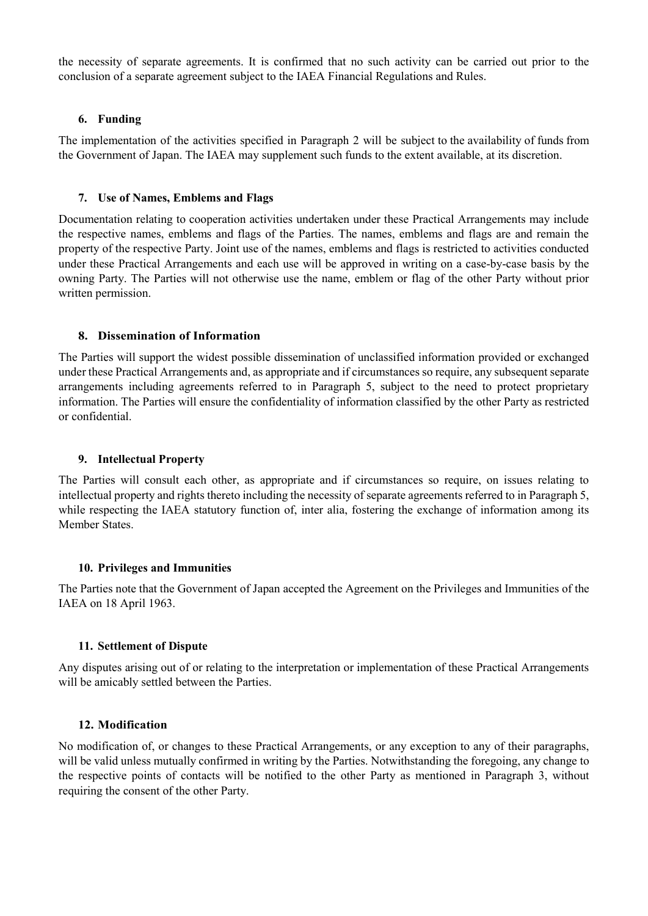the necessity of separate agreements. It is confirmed that no such activity can be carried out prior to the conclusion of a separate agreement subject to the IAEA Financial Regulations and Rules.

### **6. Funding**

The implementation of the activities specified in Paragraph 2 will be subject to the availability of funds from the Government of Japan. The IAEA may supplement such funds to the extent available, at its discretion.

### **7. Use of Names, Emblems and Flags**

Documentation relating to cooperation activities undertaken under these Practical Arrangements may include the respective names, emblems and flags of the Parties. The names, emblems and flags are and remain the property of the respective Party. Joint use of the names, emblems and flags is restricted to activities conducted under these Practical Arrangements and each use will be approved in writing on a case-by-case basis by the owning Party. The Parties will not otherwise use the name, emblem or flag of the other Party without prior written permission.

### **8. Dissemination of Information**

The Parties will support the widest possible dissemination of unclassified information provided or exchanged under these Practical Arrangements and, as appropriate and if circumstances so require, any subsequent separate arrangements including agreements referred to in Paragraph 5, subject to the need to protect proprietary information. The Parties will ensure the confidentiality of information classified by the other Party as restricted or confidential.

### **9. Intellectual Property**

The Parties will consult each other, as appropriate and if circumstances so require, on issues relating to intellectual property and rights thereto including the necessity of separate agreements referred to in Paragraph 5, while respecting the IAEA statutory function of, inter alia, fostering the exchange of information among its Member States.

#### **10. Privileges and Immunities**

The Parties note that the Government of Japan accepted the Agreement on the Privileges and Immunities of the IAEA on 18 April 1963.

#### **11. Settlement of Dispute**

Any disputes arising out of or relating to the interpretation or implementation of these Practical Arrangements will be amicably settled between the Parties.

#### **12. Modification**

No modification of, or changes to these Practical Arrangements, or any exception to any of their paragraphs, will be valid unless mutually confirmed in writing by the Parties. Notwithstanding the foregoing, any change to the respective points of contacts will be notified to the other Party as mentioned in Paragraph 3, without requiring the consent of the other Party.